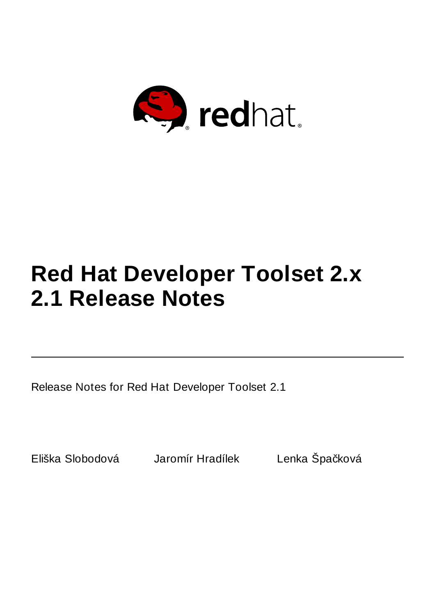

# **Red Hat Developer Toolset 2.x 2.1 Release Notes**

Release Notes for Red Hat Developer Toolset 2.1

Eliška Slobodová Jaromír Hradílek Lenka Špačková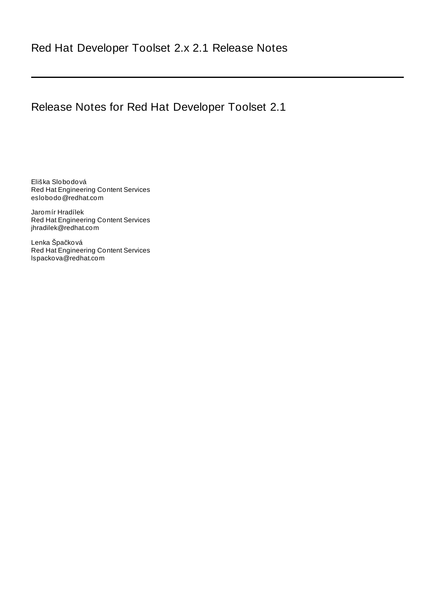# Release Notes for Red Hat Developer Toolset 2.1

Eliška Slobodová Red Hat Engineering Content Services eslobodo@redhat.com

Jaromír Hradílek Red Hat Engineering Content Services jhradilek@redhat.com

Lenka Špačková Red Hat Engineering Content Services lspackova@redhat.com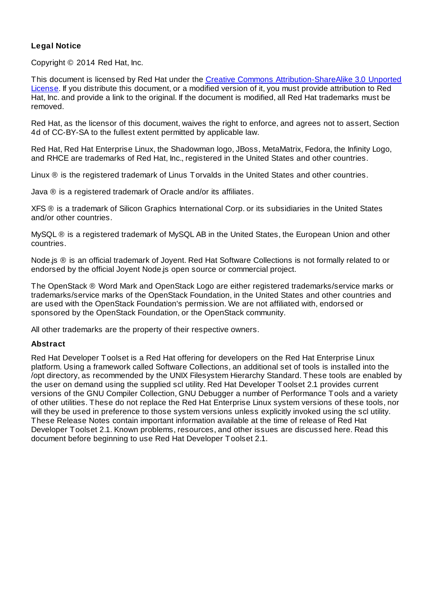#### **Legal Notice**

Copyright © 2014 Red Hat, Inc.

This document is licensed by Red Hat under the Creative Commons [Attribution-ShareAlike](http://creativecommons.org/licenses/by-sa/3.0/) 3.0 Unported License. If you distribute this document, or a modified version of it, you must provide attribution to Red Hat, Inc. and provide a link to the original. If the document is modified, all Red Hat trademarks must be removed.

Red Hat, as the licensor of this document, waives the right to enforce, and agrees not to assert, Section 4d of CC-BY-SA to the fullest extent permitted by applicable law.

Red Hat, Red Hat Enterprise Linux, the Shadowman logo, JBoss, MetaMatrix, Fedora, the Infinity Logo, and RHCE are trademarks of Red Hat, Inc., registered in the United States and other countries.

Linux ® is the registered trademark of Linus Torvalds in the United States and other countries.

Java ® is a registered trademark of Oracle and/or its affiliates.

XFS ® is a trademark of Silicon Graphics International Corp. or its subsidiaries in the United States and/or other countries.

MySQL ® is a registered trademark of MySQL AB in the United States, the European Union and other countries.

Node.js ® is an official trademark of Joyent. Red Hat Software Collections is not formally related to or endorsed by the official Joyent Node.js open source or commercial project.

The OpenStack ® Word Mark and OpenStack Logo are either registered trademarks/service marks or trademarks/service marks of the OpenStack Foundation, in the United States and other countries and are used with the OpenStack Foundation's permission. We are not affiliated with, endorsed or sponsored by the OpenStack Foundation, or the OpenStack community.

All other trademarks are the property of their respective owners.

#### **Abstract**

Red Hat Developer Toolset is a Red Hat offering for developers on the Red Hat Enterprise Linux platform. Using a framework called Software Collections, an additional set of tools is installed into the /opt directory, as recommended by the UNIX Filesystem Hierarchy Standard. These tools are enabled by the user on demand using the supplied scl utility. Red Hat Developer Toolset 2.1 provides current versions of the GNU Compiler Collection, GNU Debugger a number of Performance Tools and a variety of other utilities. These do not replace the Red Hat Enterprise Linux system versions of these tools, nor will they be used in preference to those system versions unless explicitly invoked using the scl utility. These Release Notes contain important information available at the time of release of Red Hat Developer Toolset 2.1. Known problems, resources, and other issues are discussed here. Read this document before beginning to use Red Hat Developer Toolset 2.1.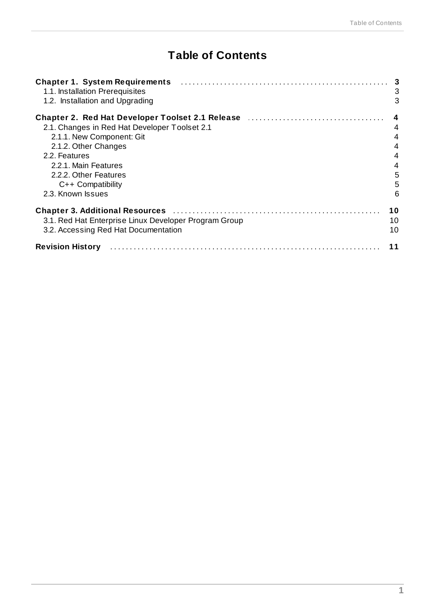# **Table of Contents**

| 1.1. Installation Prerequisites<br>1.2. Installation and Upgrading                                                     | 3<br>3 |
|------------------------------------------------------------------------------------------------------------------------|--------|
| Chapter 2. Red Hat Developer Toolset 2.1 Release <b>Chapter 10 August 2.1 Release</b> 1.1.1.1.1.1.1.1.1.1.1.1.1.1.1.1. | 4      |
| 2.1. Changes in Red Hat Developer Toolset 2.1                                                                          | 4      |
| 2.1.1. New Component: Git                                                                                              | 4      |
| 2.1.2. Other Changes                                                                                                   | 4      |
| 2.2. Features                                                                                                          | 4      |
| 2.2.1. Main Features                                                                                                   | 4      |
| 2.2.2. Other Features                                                                                                  | 5      |
| $C++$ Compatibility                                                                                                    | 5      |
| 2.3. Known Issues                                                                                                      | 6      |
| Chapter 3. Additional Resources (Material Additional Additional Additional Additional Additional Additional Ad         | 10     |
| 3.1. Red Hat Enterprise Linux Developer Program Group                                                                  | 10     |
| 3.2. Accessing Red Hat Documentation                                                                                   | 10     |
| <b>Revision History</b>                                                                                                | 11     |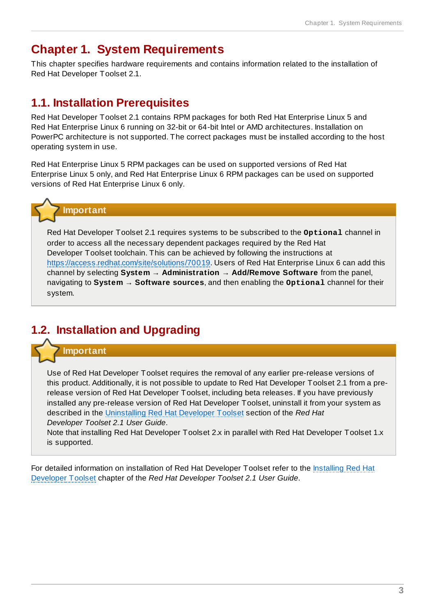# <span id="page-5-0"></span>**Chapter 1. System Requirements**

This chapter specifies hardware requirements and contains information related to the installation of Red Hat Developer Toolset 2.1.

## <span id="page-5-1"></span>**1.1. Installation Prerequisites**

Red Hat Developer Toolset 2.1 contains RPM packages for both Red Hat Enterprise Linux 5 and Red Hat Enterprise Linux 6 running on 32-bit or 64-bit Intel or AMD architectures. Installation on PowerPC architecture is not supported. The correct packages must be installed according to the host operating system in use.

Red Hat Enterprise Linux 5 RPM packages can be used on supported versions of Red Hat Enterprise Linux 5 only, and Red Hat Enterprise Linux 6 RPM packages can be used on supported versions of Red Hat Enterprise Linux 6 only.



Red Hat Developer Toolset 2.1 requires systems to be subscribed to the **Optional** channel in order to access all the necessary dependent packages required by the Red Hat Developer Toolset toolchain. This can be achieved by following the instructions at <https://access.redhat.com/site/solutions/70019>. Users of Red Hat Enterprise Linux 6 can add this channel by selecting **System** → **Administration** → **Add/Remove Software** from the panel, navigating to **System** → **Software sources**, and then enabling the **Optional** channel for their system.

# <span id="page-5-2"></span>**1.2. Installation and Upgrading**

#### **Important**

Use of Red Hat Developer Toolset requires the removal of any earlier pre-release versions of this product. Additionally, it is not possible to update to Red Hat Developer Toolset 2.1 from a prerelease version of Red Hat Developer Toolset, including beta releases. If you have previously installed any pre-release version of Red Hat Developer Toolset, uninstall it from your system as described in the [Uninstalling](https://access.redhat.com/site/documentation/en-US/Red_Hat_Developer_Toolset/2/html/User_Guide/sect-Red_Hat_Developer_Toolset-Uninstall.html) Red Hat Developer Toolset section of the *Red Hat Developer Toolset 2.1 User Guide*.

Note that installing Red Hat Developer Toolset 2.x in parallel with Red Hat Developer Toolset 1.x is supported.

For detailed [information](https://access.redhat.com/site/documentation/en-US/Red_Hat_Developer_Toolset/2/html/User_Guide/sect-Red_Hat_Developer_Toolset-Install.html) on installation of Red Hat Developer Toolset refer to the Installing Red Hat Developer Toolset chapter of the *Red Hat Developer Toolset 2.1 User Guide*.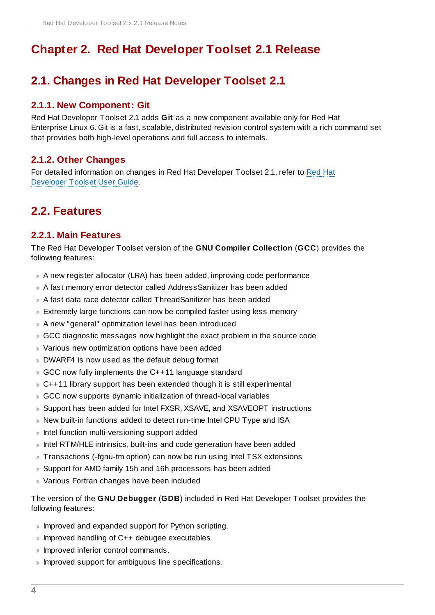# <span id="page-6-0"></span>**Chapter 2. Red Hat Developer Toolset 2.1 Release**

# <span id="page-6-1"></span>**2.1. Changes in Red Hat Developer Toolset 2.1**

#### <span id="page-6-2"></span>**2.1.1. New Component: Git**

Red Hat Developer Toolset 2.1 adds **Git** as a new component available only for Red Hat Enterprise Linux 6. Git is a fast, scalable, distributed revision control system with a rich command set that provides both high-level operations and full access to internals.

#### <span id="page-6-3"></span>**2.1.2. Other Changes**

For detailed [information](https://access.redhat.com/site/documentation/en-US/Red_Hat_Developer_Toolset/2/html-single/User_Guide/index.html#appe-Changes_in_Version_2.1) on changes in Red Hat Developer Toolset 2.1, refer to Red Hat Developer Toolset User Guide.

### <span id="page-6-4"></span>**2.2. Features**

#### <span id="page-6-5"></span>**2.2.1. Main Features**

The Red Hat Developer Toolset version of the **GNU Compiler Collection** (**GCC**) provides the following features:

- A new register allocator (LRA) has been added, improving code performance
- A fast memory error detector called AddressSanitizer has been added
- A fast data race detector called ThreadSanitizer has been added
- Extremely large functions can now be compiled faster using less memory
- A new "general" optimization level has been introduced
- GCC diagnostic messages now highlight the exact problem in the source code
- Various new optimization options have been added
- DWARF4 is now used as the default debug format
- GCC now fully implements the C++11 language standard
- C++11 library support has been extended though it is still experimental
- GCC now supports dynamic initialization of thread-local variables
- Support has been added for Intel FXSR, XSAVE, and XSAVEOPT instructions
- New built-in functions added to detect run-time Intel CPU Type and ISA
- **Intel function multi-versioning support added**
- Intel RTM/HLE intrinsics, built-ins and code generation have been added
- Transactions (-fgnu-tm option) can now be run using Intel TSX extensions
- Support for AMD family 15h and 16h processors has been added
- Various Fortran changes have been included

The version of the **GNU Debugger** (**GDB**) included in Red Hat Developer Toolset provides the following features:

- **Improved and expanded support for Python scripting.**
- Improved handling of C++ debugee executables.
- **Improved inferior control commands.**
- **Improved support for ambiguous line specifications.**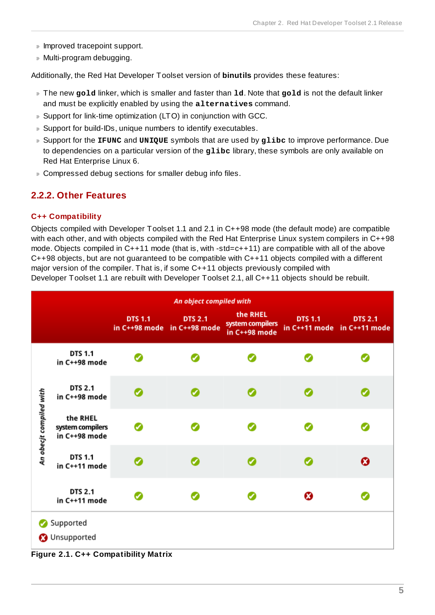- **Improved tracepoint support.**
- Multi-program debugging.

Additionally, the Red Hat Developer Toolset version of **binutils** provides these features:

- The new **gold** linker, which is smaller and faster than **ld**. Note that **gold** is not the default linker and must be explicitly enabled by using the **alternatives** command.
- Support for link-time optimization (LTO) in conjunction with GCC.
- **D** Support for build-IDs, unique numbers to identify executables.
- Support for the **IFUNC** and **UNIQUE** symbols that are used by **glibc** to improve performance. Due to dependencies on a particular version of the glibc library, these symbols are only available on Red Hat Enterprise Linux 6.
- Compressed debug sections for smaller debug info files.

### <span id="page-7-0"></span>**2.2.2. Other Features**

#### <span id="page-7-1"></span>**C++ Compatibility**

Objects compiled with Developer Toolset 1.1 and 2.1 in C++98 mode (the default mode) are compatible with each other, and with objects compiled with the Red Hat Enterprise Linux system compilers in C++98 mode. Objects compiled in C++11 mode (that is, with -std=c++11) are compatible with all of the above  $C++98$  objects, but are not guaranteed to be compatible with  $C++11$  objects compiled with a different major version of the compiler. That is, if some C++11 objects previously compiled with Developer Toolset 1.1 are rebuilt with Developer Toolset 2.1, all C++11 objects should be rebuilt.

|                         | An object compiled with                       |                                               |                |                                               |                |                                               |  |  |
|-------------------------|-----------------------------------------------|-----------------------------------------------|----------------|-----------------------------------------------|----------------|-----------------------------------------------|--|--|
|                         |                                               | <b>DTS 1.1</b><br>in C++98 mode in C++98 mode | <b>DTS 2.1</b> | the RHEL<br>system compilers<br>in C++98 mode | <b>DTS 1.1</b> | <b>DTS 2.1</b><br>in C++11 mode in C++11 mode |  |  |
| An obecjt compiled with | <b>DTS 1.1</b><br>in C++98 mode               | Ø                                             | Ø              |                                               |                |                                               |  |  |
|                         | <b>DTS 2.1</b><br>in C++98 mode               |                                               | ✓              |                                               |                |                                               |  |  |
|                         | the RHEL<br>system compilers<br>in C++98 mode |                                               | z              |                                               |                |                                               |  |  |
|                         | <b>DTS 1.1</b><br>in C++11 mode               |                                               |                |                                               |                | ଊ                                             |  |  |
|                         | <b>DTS 2.1</b><br>in C++11 mode               | ø                                             | Ø              |                                               | ೞ              |                                               |  |  |
|                         | Supported                                     |                                               |                |                                               |                |                                               |  |  |
|                         | <b>3</b> Unsupported                          |                                               |                |                                               |                |                                               |  |  |
|                         | Figure 2.1. C++ Compatibility Matrix          |                                               |                |                                               |                |                                               |  |  |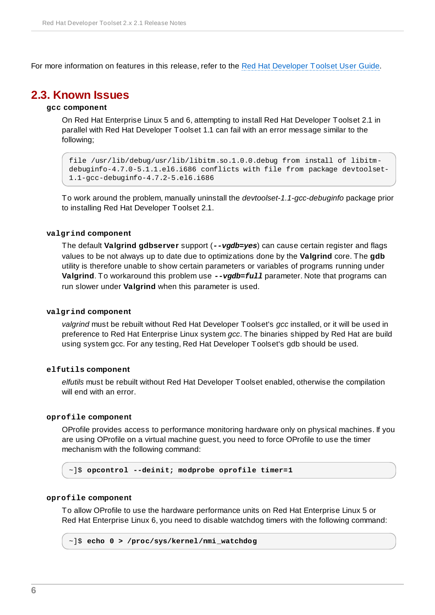For more information on features in this release, refer to the Red Hat [Developer](https://access.redhat.com/site/documentation/en-US/Red_Hat_Developer_Toolset/2/html/User_Guide/sect-Red_Hat_Developer_Toolset-Features.html) Toolset User Guide.

### <span id="page-8-0"></span>**2.3. Known Issues**

#### **gcc component**

On Red Hat Enterprise Linux 5 and 6, attempting to install Red Hat Developer Toolset 2.1 in parallel with Red Hat Developer Toolset 1.1 can fail with an error message similar to the following;

file /usr/lib/debug/usr/lib/libitm.so.1.0.0.debug from install of libitmdebuginfo-4.7.0-5.1.1.el6.i686 conflicts with file from package devtoolset-1.1-gcc-debuginfo-4.7.2-5.el6.i686

To work around the problem, manually uninstall the *devtoolset-1.1-gcc-debuginfo* package prior to installing Red Hat Developer Toolset 2.1.

#### **valgrind component**

The default **Valgrind gdbserver** support (*--vgdb=yes*) can cause certain register and flags values to be not always up to date due to optimizations done by the **Valgrind** core. The **gdb** utility is therefore unable to show certain parameters or variables of programs running under **Valgrind**. To workaround this problem use *--vgdb=full* parameter. Note that programs can run slower under **Valgrind** when this parameter is used.

#### **valgrind component**

*valgrind* must be rebuilt without Red Hat Developer Toolset's *gcc* installed, or it will be used in preference to Red Hat Enterprise Linux system *gcc*. The binaries shipped by Red Hat are build using system gcc. For any testing, Red Hat Developer Toolset's gdb should be used.

#### **elfutils component**

*elfutils* must be rebuilt without Red Hat Developer Toolset enabled, otherwise the compilation will end with an error.

#### **oprofile component**

OProfile provides access to performance monitoring hardware only on physical machines. If you are using OProfile on a virtual machine guest, you need to force OProfile to use the timer mechanism with the following command:

~]\$ **opcontrol --deinit; modprobe oprofile timer=1**

#### **oprofile component**

To allow OProfile to use the hardware performance units on Red Hat Enterprise Linux 5 or Red Hat Enterprise Linux 6, you need to disable watchdog timers with the following command:

```
~]$ echo 0 > /proc/sys/kernel/nmi_watchdog
```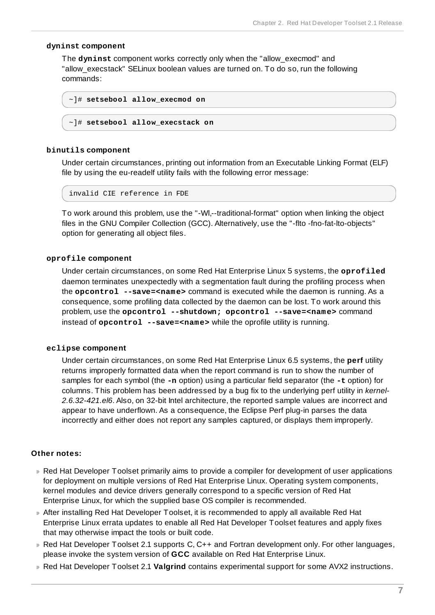#### **dyninst component**

The **dyninst** component works correctly only when the "allow\_execmod" and "allow execstack" SELinux boolean values are turned on. To do so, run the following commands:

```
~]# setsebool allow_execmod on
```

```
~]# setsebool allow_execstack on
```
#### **binutils component**

Under certain circumstances, printing out information from an Executable Linking Format (ELF) file by using the eu-readelf utility fails with the following error message:

```
invalid CIE reference in FDE
```
To work around this problem, use the "-Wl,--traditional-format" option when linking the object files in the GNU Compiler Collection (GCC). Alternatively, use the "-flto -fno-fat-lto-objects" option for generating all object files.

#### **oprofile component**

Under certain circumstances, on some Red Hat Enterprise Linux 5 systems, the **oprofiled** daemon terminates unexpectedly with a segmentation fault during the profiling process when the **opcontrol --save=<name>** command is executed while the daemon is running. As a consequence, some profiling data collected by the daemon can be lost. To work around this problem, use the **opcontrol --shutdown; opcontrol --save=<name>** command instead of **opcontrol --save=<name>** while the oprofile utility is running.

#### **eclipse component**

Under certain circumstances, on some Red Hat Enterprise Linux 6.5 systems, the **perf** utility returns improperly formatted data when the report command is run to show the number of samples for each symbol (the **-n** option) using a particular field separator (the **-t** option) for columns. This problem has been addressed by a bug fix to the underlying perf utility in *kernel-2.6.32-421.el6*. Also, on 32-bit Intel architecture, the reported sample values are incorrect and appear to have underflown. As a consequence, the Eclipse Perf plug-in parses the data incorrectly and either does not report any samples captured, or displays them improperly.

#### **Other notes:**

- Red Hat Developer Toolset primarily aims to provide a compiler for development of user applications for deployment on multiple versions of Red Hat Enterprise Linux. Operating system components, kernel modules and device drivers generally correspond to a specific version of Red Hat Enterprise Linux, for which the supplied base OS compiler is recommended.
- After installing Red Hat Developer Toolset, it is recommended to apply all available Red Hat Enterprise Linux errata updates to enable all Red Hat Developer Toolset features and apply fixes that may otherwise impact the tools or built code.
- Red Hat Developer Toolset 2.1 supports C, C++ and Fortran development only. For other languages, please invoke the system version of **GCC** available on Red Hat Enterprise Linux.
- Red Hat Developer Toolset 2.1 **Valgrind** contains experimental support for some AVX2 instructions.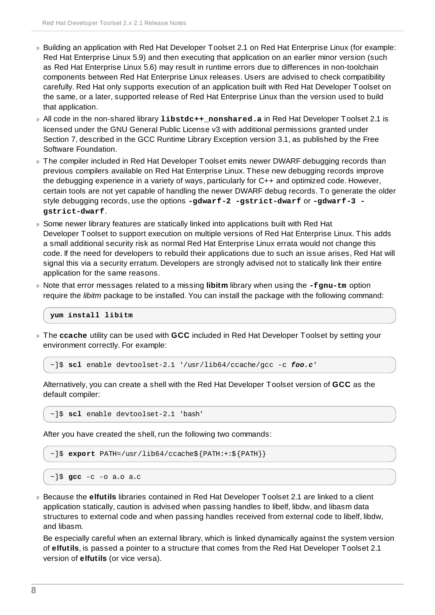- Building an application with Red Hat Developer Toolset 2.1 on Red Hat Enterprise Linux (for example: Red Hat Enterprise Linux 5.9) and then executing that application on an earlier minor version (such as Red Hat Enterprise Linux 5.6) may result in runtime errors due to differences in non-toolchain components between Red Hat Enterprise Linux releases. Users are advised to check compatibility carefully. Red Hat only supports execution of an application built with Red Hat Developer Toolset on the same, or a later, supported release of Red Hat Enterprise Linux than the version used to build that application.
- All code in the non-shared library **libstdc++\_nonshared.a** in Red Hat Developer Toolset 2.1 is licensed under the GNU General Public License v3 with additional permissions granted under Section 7, described in the GCC Runtime Library Exception version 3.1, as published by the Free Software Foundation.
- The compiler included in Red Hat Developer Toolset emits newer DWARF debugging records than previous compilers available on Red Hat Enterprise Linux. These new debugging records improve the debugging experience in a variety of ways, particularly for C++ and optimized code. However, certain tools are not yet capable of handling the newer DWARF debug records. To generate the older style debugging records, use the options **-gdwarf-2 -gstrict-dwarf** or **-gdwarf-3 gstrict-dwarf**.
- Some newer library features are statically linked into applications built with Red Hat Developer Toolset to support execution on multiple versions of Red Hat Enterprise Linux. This adds a small additional security risk as normal Red Hat Enterprise Linux errata would not change this code. If the need for developers to rebuild their applications due to such an issue arises, Red Hat will signal this via a security erratum. Developers are strongly advised not to statically link their entire application for the same reasons.
- Note that error messages related to a missing **libitm** library when using the **-fgnu-tm** option require the *libitm* package to be installed. You can install the package with the following command:

```
yum install libitm
```
The **ccache** utility can be used with **GCC** included in Red Hat Developer Toolset by setting your environment correctly. For example:

~]\$ **scl** enable devtoolset-2.1 '/usr/lib64/ccache/gcc -c *foo.c*'

Alternatively, you can create a shell with the Red Hat Developer Toolset version of **GCC** as the default compiler:

~]\$ **scl** enable devtoolset-2.1 'bash'

After you have created the shell, run the following two commands:

```
~]$ export PATH=/usr/lib64/ccache${PATH:+:${PATH}}
```

```
~]$ gcc -c -o a.o a.c
```
Because the **elfutils** libraries contained in Red Hat Developer Toolset 2.1 are linked to a client application statically, caution is advised when passing handles to libelf, libdw, and libasm data structures to external code and when passing handles received from external code to libelf, libdw, and libasm.

Be especially careful when an external library, which is linked dynamically against the system version of **elfutils**, is passed a pointer to a structure that comes from the Red Hat Developer Toolset 2.1 version of **elfutils** (or vice versa).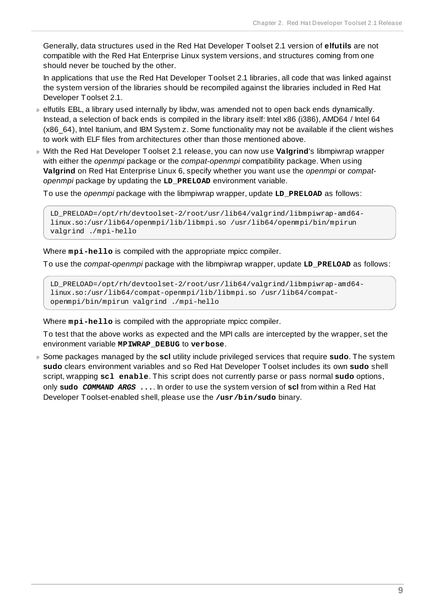Generally, data structures used in the Red Hat Developer Toolset 2.1 version of **elfutils** are not compatible with the Red Hat Enterprise Linux system versions, and structures coming from one should never be touched by the other.

In applications that use the Red Hat Developer Toolset 2.1 libraries, all code that was linked against the system version of the libraries should be recompiled against the libraries included in Red Hat Developer Toolset 2.1.

- elfutils EBL, a library used internally by libdw, was amended not to open back ends dynamically. Instead, a selection of back ends is compiled in the library itself: Intel x86 (i386), AMD64 / Intel 64 (x86\_64), Intel Itanium, and IBM System z. Some functionality may not be available if the client wishes to work with ELF files from architectures other than those mentioned above.
- With the Red Hat Developer Toolset 2.1 release, you can now use **Valgrind**'s libmpiwrap wrapper with either the *openmpi* package or the *compat-openmpi* compatibility package. When using **Valgrind** on Red Hat Enterprise Linux 6, specify whether you want use the *openmpi* or *compatopenmpi* package by updating the **LD\_PRELOAD** environment variable.

To use the *openmpi* package with the libmpiwrap wrapper, update **LD\_PRELOAD** as follows:

```
LD_PRELOAD=/opt/rh/devtoolset-2/root/usr/lib64/valgrind/libmpiwrap-amd64-
linux.so:/usr/lib64/openmpi/lib/libmpi.so /usr/lib64/openmpi/bin/mpirun
valgrind ./mpi-hello
```
Where **mpi-hello** is compiled with the appropriate mpicc compiler.

To use the *compat-openmpi* package with the libmpiwrap wrapper, update **LD\_PRELOAD** as follows:

LD\_PRELOAD=/opt/rh/devtoolset-2/root/usr/lib64/valgrind/libmpiwrap-amd64 linux.so:/usr/lib64/compat-openmpi/lib/libmpi.so /usr/lib64/compatopenmpi/bin/mpirun valgrind ./mpi-hello

Where **mpi-hello** is compiled with the appropriate mpicc compiler.

To test that the above works as expected and the MPI calls are intercepted by the wrapper, set the environment variable **MPIWRAP\_DEBUG** to **verbose**.

Some packages managed by the **scl** utility include privileged services that require **sudo**. The system **sudo** clears environment variables and so Red Hat Developer Toolset includes its own **sudo** shell script, wrapping **scl enable**. This script does not currently parse or pass normal **sudo** options, only **sudo** *COMMAND ARGS ...*. In order to use the system version of **scl** from within a Red Hat Developer Toolset-enabled shell, please use the **/usr/bin/sudo** binary.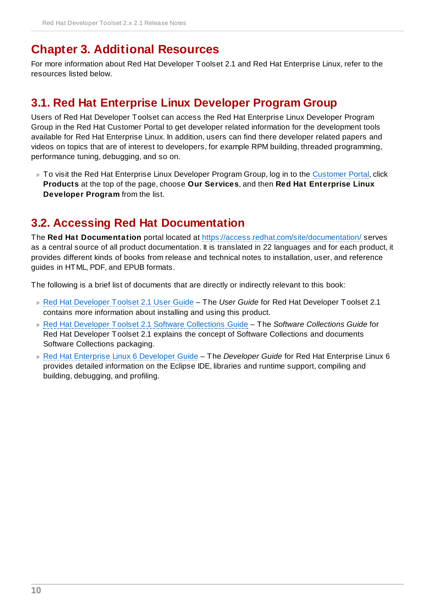# <span id="page-12-0"></span>**Chapter 3. Additional Resources**

For more information about Red Hat Developer Toolset 2.1 and Red Hat Enterprise Linux, refer to the resources listed below.

## <span id="page-12-1"></span>**3.1. Red Hat Enterprise Linux Developer Program Group**

Users of Red Hat Developer Toolset can access the Red Hat Enterprise Linux Developer Program Group in the Red Hat Customer Portal to get developer related information for the development tools available for Red Hat Enterprise Linux. In addition, users can find there developer related papers and videos on topics that are of interest to developers, for example RPM building, threaded programming, performance tuning, debugging, and so on.

■ To visit the Red Hat Enterprise Linux Developer Program Group, log in to the [Customer](https://access.redhat.com/) Portal, click **Products** at the top of the page, choose **Our Services**, and then **Red Hat Enterprise Linux Developer Program** from the list.

# <span id="page-12-2"></span>**3.2. Accessing Red Hat Documentation**

The **Red Hat Documentation** portal located at <https://access.redhat.com/site/documentation/> serves as a central source of all product documentation. It is translated in 22 languages and for each product, it provides different kinds of books from release and technical notes to installation, user, and reference guides in HTML, PDF, and EPUB formats.

The following is a brief list of documents that are directly or indirectly relevant to this book:

- **Red Hat [Developer](https://access.redhat.com/site/documentation/en-US/Red_Hat_Developer_Toolset/2/html/User_Guide/index.html) Toolset 2.1 User Guide The User Guide for Red Hat Developer Toolset 2.1** contains more information about installing and using this product.
- Red Hat Developer Toolset 2.1 Software [Collections](https://access.redhat.com/site/documentation/en-US/Red_Hat_Developer_Toolset/2/html/Software_Collections_Guide/index.html) Guide The *Software Collections Guide* for Red Hat Developer Toolset 2.1 explains the concept of Software Collections and documents Software Collections packaging.
- Red Hat [Enterprise](https://access.redhat.com/site/documentation/en-US/Red_Hat_Enterprise_Linux/6/html/Developer_Guide/index.html) Linux 6 Developer Guide The *Developer Guide* for Red Hat Enterprise Linux 6 provides detailed information on the Eclipse IDE, libraries and runtime support, compiling and building, debugging, and profiling.